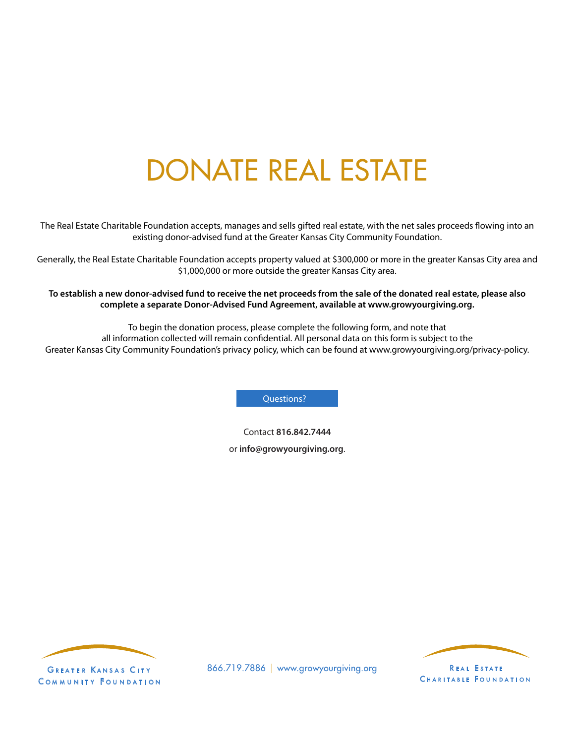## DONATE REAL ESTATE

The Real Estate Charitable Foundation accepts, manages and sells gifted real estate, with the net sales proceeds flowing into an existing donor-advised fund at the Greater Kansas City Community Foundation.

Generally, the Real Estate Charitable Foundation accepts property valued at \$300,000 or more in the greater Kansas City area and \$1,000,000 or more outside the greater Kansas City area.

**To establish a new donor-advised fund to receive the net proceeds from the sale of the donated real estate, please also complete a separate Donor-Advised Fund Agreement, available at www.growyourgiving.org.**

To begin the donation process, please complete the following form, and note that all information collected will remain confidential. All personal data on this form is subject to the Greater Kansas City Community Foundation's privacy policy, which can be found at www.growyourgiving.org/privacy-policy.

Questions?

Contact **816.842.7444** or **info@growyourgiving.org**.



COMMUNITY FOUNDATION



866.719.7886 | www.growyourgiving.org REAL ESTATE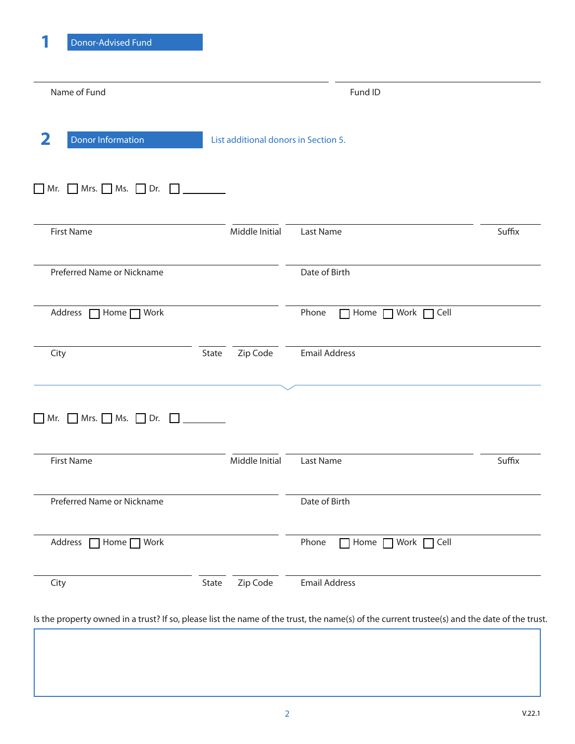| Name of Fund                                                          | Fund ID           |                               |        |  |  |  |  |
|-----------------------------------------------------------------------|-------------------|-------------------------------|--------|--|--|--|--|
| 2<br><b>Donor Information</b><br>List additional donors in Section 5. |                   |                               |        |  |  |  |  |
| $\Box$ Mr. $\Box$ Mrs. $\Box$ Ms. $\Box$ Dr. $\Box$                   |                   |                               |        |  |  |  |  |
| <b>First Name</b>                                                     | Middle Initial    | Last Name                     | Suffix |  |  |  |  |
| Preferred Name or Nickname                                            |                   | Date of Birth                 |        |  |  |  |  |
| Address<br>$\Box$ Home $\Box$ Work                                    |                   | Phone<br>Home Work Cell       |        |  |  |  |  |
| City                                                                  | Zip Code<br>State | <b>Email Address</b>          |        |  |  |  |  |
| $\Box$ Mr. $\Box$ Mrs. $\Box$ Ms. $\Box$ Dr. $\Box$                   |                   |                               |        |  |  |  |  |
| <b>First Name</b>                                                     | Middle Initial    | Last Name                     | Suffix |  |  |  |  |
| Preferred Name or Nickname                                            |                   | Date of Birth                 |        |  |  |  |  |
| Address   Home   Work                                                 |                   | Phone<br>□ Home □ Work □ Cell |        |  |  |  |  |
| City                                                                  | Zip Code<br>State | <b>Email Address</b>          |        |  |  |  |  |

Is the property owned in a trust? If so, please list the name of the trust, the name(s) of the current trustee(s) and the date of the trust.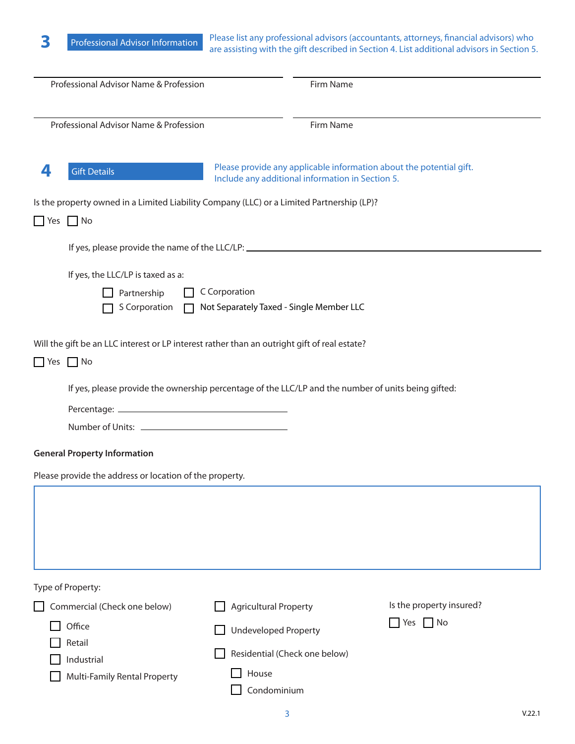Please list any professional advisors (accountants, attorneys, financial advisors) who **3** Professional Advisor Information Please list any professional advisors (accountants, attorneys, financial advisors) who are assisting with the gift described in Section 4. List additional advisors in Section 5.

| Professional Advisor Name & Profession                  |                                                                                                                                          | Firm Name                                                                                                               |                               |                                                  |  |  |  |  |
|---------------------------------------------------------|------------------------------------------------------------------------------------------------------------------------------------------|-------------------------------------------------------------------------------------------------------------------------|-------------------------------|--------------------------------------------------|--|--|--|--|
|                                                         | Professional Advisor Name & Profession                                                                                                   |                                                                                                                         | Firm Name                     |                                                  |  |  |  |  |
| 4                                                       | <b>Gift Details</b>                                                                                                                      | Please provide any applicable information about the potential gift.<br>Include any additional information in Section 5. |                               |                                                  |  |  |  |  |
|                                                         | Is the property owned in a Limited Liability Company (LLC) or a Limited Partnership (LP)?<br>$\Box$ Yes $\Box$ No                        |                                                                                                                         |                               |                                                  |  |  |  |  |
|                                                         | If yes, please provide the name of the LLC/LP: _________________________________                                                         |                                                                                                                         |                               |                                                  |  |  |  |  |
|                                                         | If yes, the LLC/LP is taxed as a:<br>C Corporation<br>Partnership<br>S Corporation<br>Not Separately Taxed - Single Member LLC<br>$\Box$ |                                                                                                                         |                               |                                                  |  |  |  |  |
|                                                         | Will the gift be an LLC interest or LP interest rather than an outright gift of real estate?<br>$\Box$ Yes $\Box$ No                     |                                                                                                                         |                               |                                                  |  |  |  |  |
|                                                         | If yes, please provide the ownership percentage of the LLC/LP and the number of units being gifted:                                      |                                                                                                                         |                               |                                                  |  |  |  |  |
|                                                         |                                                                                                                                          |                                                                                                                         |                               |                                                  |  |  |  |  |
|                                                         |                                                                                                                                          |                                                                                                                         |                               |                                                  |  |  |  |  |
|                                                         | <b>General Property Information</b>                                                                                                      |                                                                                                                         |                               |                                                  |  |  |  |  |
| Please provide the address or location of the property. |                                                                                                                                          |                                                                                                                         |                               |                                                  |  |  |  |  |
|                                                         |                                                                                                                                          |                                                                                                                         |                               |                                                  |  |  |  |  |
|                                                         | Type of Property:<br>Commercial (Check one below)<br>Office<br>Retail<br>Industrial<br>Multi-Family Rental Property                      | <b>Agricultural Property</b><br><b>Undeveloped Property</b><br>House<br>Condominium                                     | Residential (Check one below) | Is the property insured?<br>$\Box$ Yes $\Box$ No |  |  |  |  |

V.22.1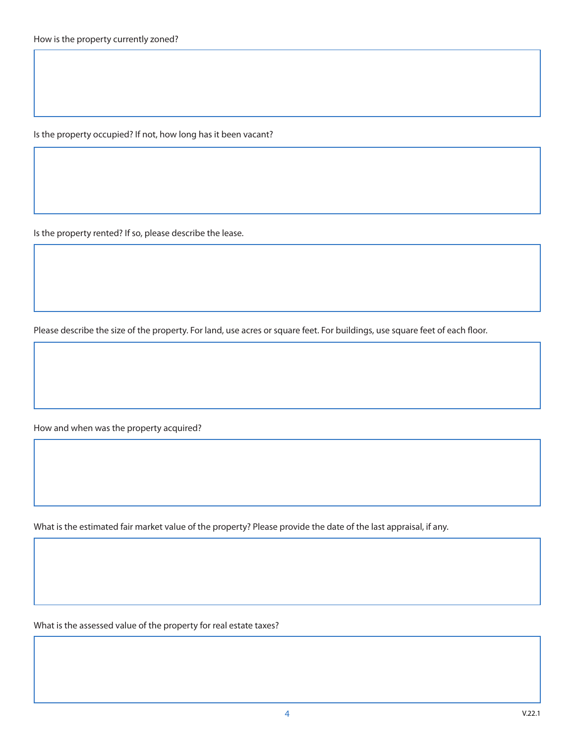Is the property occupied? If not, how long has it been vacant?

Is the property rented? If so, please describe the lease.

Please describe the size of the property. For land, use acres or square feet. For buildings, use square feet of each floor.

How and when was the property acquired?

What is the estimated fair market value of the property? Please provide the date of the last appraisal, if any.

What is the assessed value of the property for real estate taxes?

4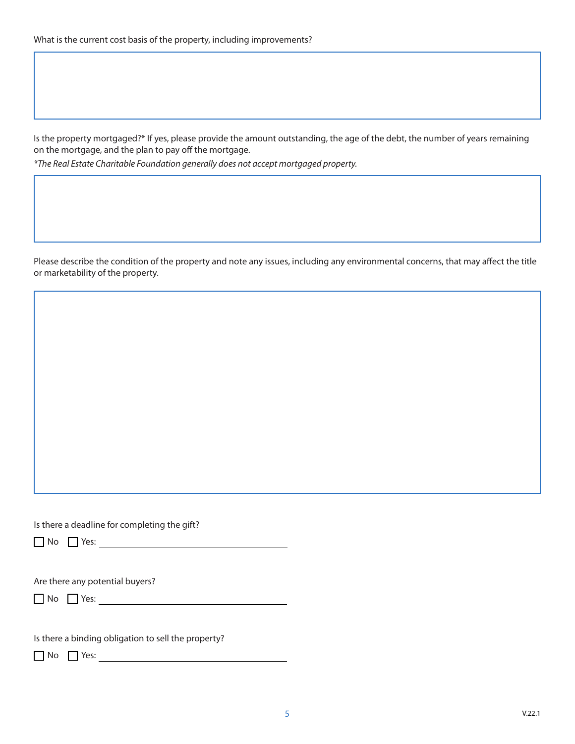Is the property mortgaged?\* If yes, please provide the amount outstanding, the age of the debt, the number of years remaining on the mortgage, and the plan to pay off the mortgage.

*\*The Real Estate Charitable Foundation generally does not accept mortgaged property.*

Please describe the condition of the property and note any issues, including any environmental concerns, that may affect the title or marketability of the property.

Is there a deadline for completing the gift?

 $\Box$  No  $\Box$  Yes:

Are there any potential buyers?

 $\Box$  No  $\Box$  Yes:

Is there a binding obligation to sell the property?

 $\Box$  No  $\Box$  Yes:  $\Box$